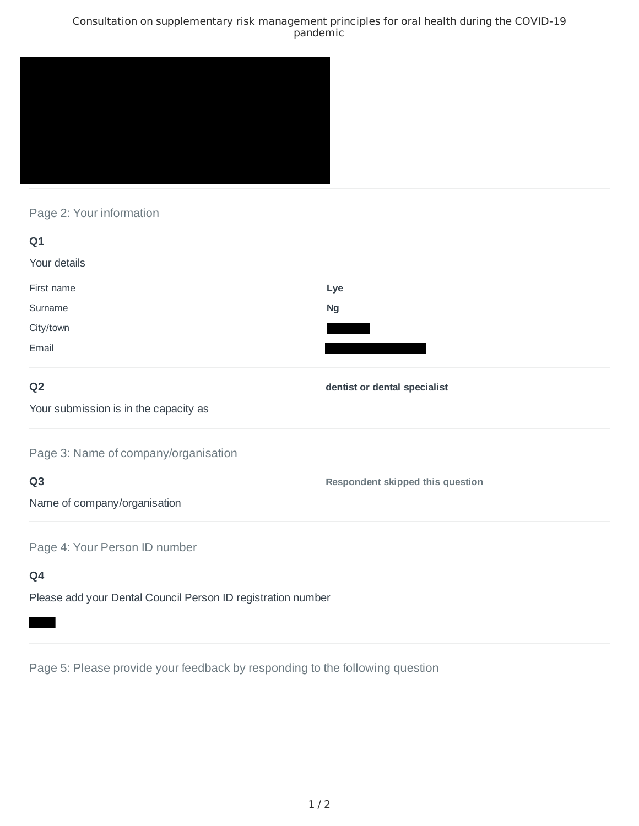### Consultation on supplementary risk management principles for oral health during the COVID-19 pandemic



Page 2: Your information

| Q1           |           |
|--------------|-----------|
| Your details |           |
| First name   | Lye       |
| Surname      | <b>Ng</b> |
| City/town    |           |
| Email        |           |

## **Q2**

**dentist or dental specialist**

**Respondent skipped this question**

Your submission is in the capacity as

Page 3: Name of company/organisation

# **Q3**

Name of company/organisation

Page 4: Your Person ID number

# **Q4**

Please add your Dental Council Person ID registration number

Page 5: Please provide your feedback by responding to the following question